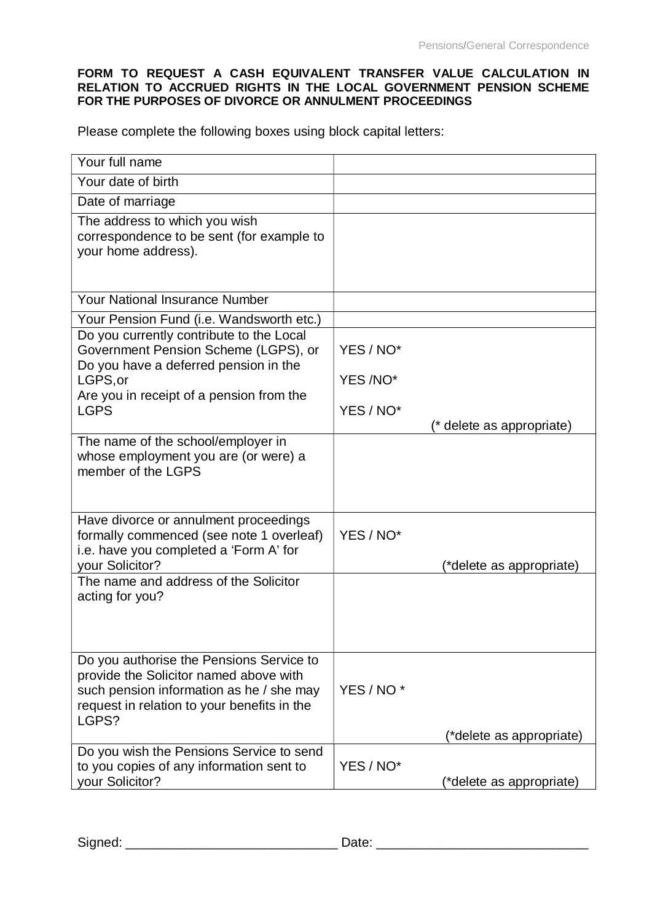## **FORM TO REQUEST A CASH EQUIVALENT TRANSFER VALUE CALCULATION IN RELATION TO ACCRUED RIGHTS IN THE LOCAL GOVERNMENT PENSION SCHEME FOR THE PURPOSES OF DIVORCE OR ANNULMENT PROCEEDINGS**

Please complete the following boxes using block capital letters:

| Your full name                                                                                                                                                                         |                                        |
|----------------------------------------------------------------------------------------------------------------------------------------------------------------------------------------|----------------------------------------|
| Your date of birth                                                                                                                                                                     |                                        |
| Date of marriage                                                                                                                                                                       |                                        |
| The address to which you wish<br>correspondence to be sent (for example to<br>your home address).                                                                                      |                                        |
| <b>Your National Insurance Number</b>                                                                                                                                                  |                                        |
| Your Pension Fund (i.e. Wandsworth etc.)                                                                                                                                               |                                        |
| Do you currently contribute to the Local<br>Government Pension Scheme (LGPS), or<br>Do you have a deferred pension in the                                                              | YES / NO*                              |
| LGPS, or<br>Are you in receipt of a pension from the                                                                                                                                   | YES /NO*                               |
| <b>LGPS</b>                                                                                                                                                                            | YES / NO*<br>(* delete as appropriate) |
| The name of the school/employer in<br>whose employment you are (or were) a<br>member of the LGPS                                                                                       |                                        |
| Have divorce or annulment proceedings<br>formally commenced (see note 1 overleaf)<br>i.e. have you completed a 'Form A' for<br>your Solicitor?                                         | YES / NO*<br>(*delete as appropriate)  |
| The name and address of the Solicitor<br>acting for you?                                                                                                                               |                                        |
| Do you authorise the Pensions Service to<br>provide the Solicitor named above with<br>such pension information as he / she may<br>request in relation to your benefits in the<br>LGPS? | YES / NO <sup>*</sup>                  |
| Do you wish the Pensions Service to send                                                                                                                                               | (*delete as appropriate)               |
| to you copies of any information sent to<br>your Solicitor?                                                                                                                            | YES / NO*<br>(*delete as appropriate)  |